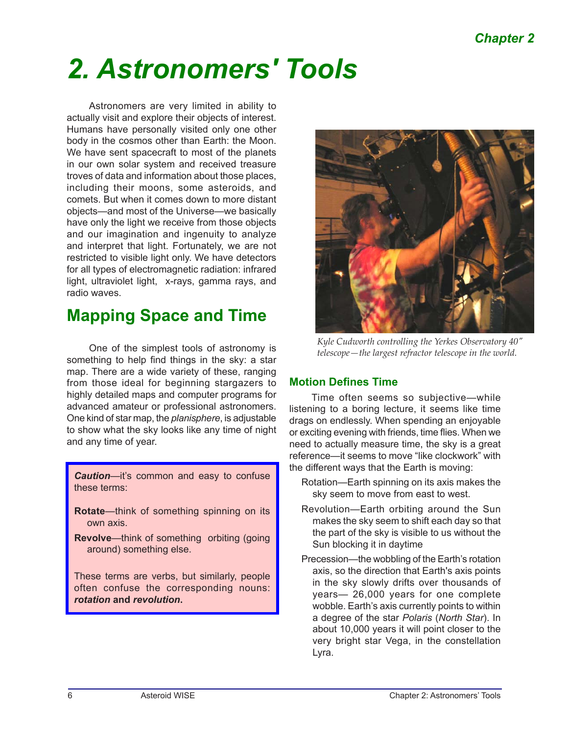# *2. Astronomers' Tools*

Astronomers are very limited in ability to actually visit and explore their objects of interest. Humans have personally visited only one other body in the cosmos other than Earth: the Moon. We have sent spacecraft to most of the planets in our own solar system and received treasure troves of data and information about those places, including their moons, some asteroids, and comets. But when it comes down to more distant objects—and most of the Universe—we basically have only the light we receive from those objects and our imagination and ingenuity to analyze and interpret that light. Fortunately, we are not restricted to visible light only. We have detectors for all types of electromagnetic radiation: infrared light, ultraviolet light, x-rays, gamma rays, and radio waves.

### **Mapping Space and Time**

One of the simplest tools of astronomy is something to help find things in the sky: a star map. There are a wide variety of these, ranging from those ideal for beginning stargazers to highly detailed maps and computer programs for advanced amateur or professional astronomers. One kind of star map, the *planisphere*, is adjustable to show what the sky looks like any time of night and any time of year.

*Caution*—it's common and easy to confuse these terms:

- **Rotate**—think of something spinning on its own axis.
- **Revolve**—think of something orbiting (going around) something else.

These terms are verbs, but similarly, people often confuse the corresponding nouns: *rotation* **and** *revolution***.**



*Kyle Cudworth controlling the Yerkes Observatory 40" telescope—the largest refractor telescope in the world.*

### **Motion Defines Time**

Time often seems so subjective—while listening to a boring lecture, it seems like time drags on endlessly. When spending an enjoyable or exciting evening with friends, time flies. When we need to actually measure time, the sky is a great reference—it seems to move "like clockwork" with the different ways that the Earth is moving:

- Rotation—Earth spinning on its axis makes the sky seem to move from east to west.
- Revolution—Earth orbiting around the Sun makes the sky seem to shift each day so that the part of the sky is visible to us without the Sun blocking it in daytime
- Precession—the wobbling of the Earth's rotation axis, so the direction that Earth's axis points in the sky slowly drifts over thousands of years— 26,000 years for one complete wobble. Earth's axis currently points to within a degree of the star *Polaris* (*North Star*). In about 10,000 years it will point closer to the very bright star Vega, in the constellation Lyra.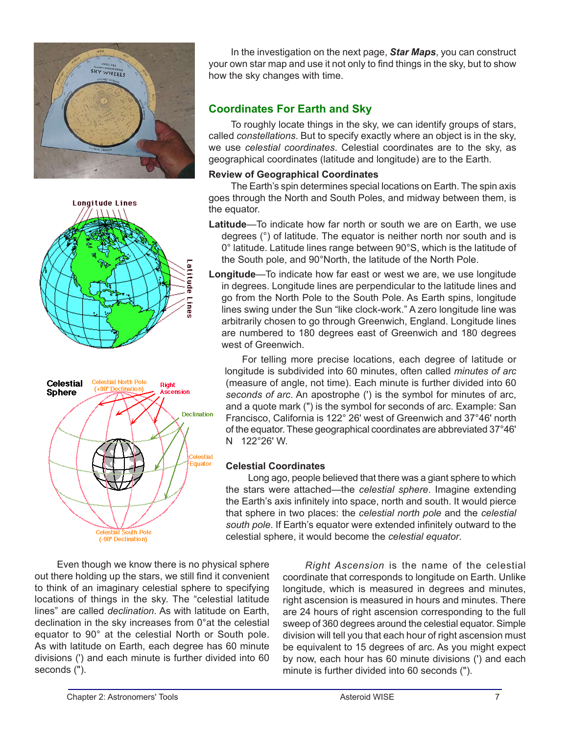





Even though we know there is no physical sphere out there holding up the stars, we still find it convenient to think of an imaginary celestial sphere to specifying locations of things in the sky. The "celestial latitude lines" are called *declination*. As with latitude on Earth, declination in the sky increases from 0°at the celestial equator to 90° at the celestial North or South pole. As with latitude on Earth, each degree has 60 minute divisions (') and each minute is further divided into 60 seconds (").

In the investigation on the next page, *Star Maps*, you can construct your own star map and use it not only to find things in the sky, but to show how the sky changes with time.

### **Coordinates For Earth and Sky**

To roughly locate things in the sky, we can identify groups of stars, called *constellations*. But to specify exactly where an object is in the sky, we use *celestial coordinates*. Celestial coordinates are to the sky, as geographical coordinates (latitude and longitude) are to the Earth.

#### **Review of Geographical Coordinates**

The Earth's spin determines special locations on Earth. The spin axis goes through the North and South Poles, and midway between them, is the equator.

- **Latitude**—To indicate how far north or south we are on Earth, we use degrees (°) of latitude. The equator is neither north nor south and is 0° latitude. Latitude lines range between 90°S, which is the latitude of the South pole, and 90°North, the latitude of the North Pole.
- **Longitude**—To indicate how far east or west we are, we use longitude in degrees. Longitude lines are perpendicular to the latitude lines and go from the North Pole to the South Pole. As Earth spins, longitude lines swing under the Sun "like clock-work." A zero longitude line was arbitrarily chosen to go through Greenwich, England. Longitude lines are numbered to 180 degrees east of Greenwich and 180 degrees west of Greenwich.

For telling more precise locations, each degree of latitude or longitude is subdivided into 60 minutes, often called *minutes of arc* (measure of angle, not time). Each minute is further divided into 60 *seconds of arc*. An apostrophe (') is the symbol for minutes of arc, and a quote mark (") is the symbol for seconds of arc. Example: San Francisco, California is 122° 26' west of Greenwich and 37°46' north of the equator. These geographical coordinates are abbreviated 37°46' N 122°26' W.

### **Celestial Coordinates**

Long ago, people believed that there was a giant sphere to which the stars were attached—the *celestial sphere*. Imagine extending the Earth's axis infinitely into space, north and south. It would pierce that sphere in two places: the *celestial north pole* and the *celestial south pole*. If Earth's equator were extended infinitely outward to the celestial sphere, it would become the *celestial equator*.

> *Right Ascension* is the name of the celestial coordinate that corresponds to longitude on Earth. Unlike longitude, which is measured in degrees and minutes, right ascension is measured in hours and minutes. There are 24 hours of right ascension corresponding to the full sweep of 360 degrees around the celestial equator. Simple division will tell you that each hour of right ascension must be equivalent to 15 degrees of arc. As you might expect by now, each hour has 60 minute divisions (') and each minute is further divided into 60 seconds (").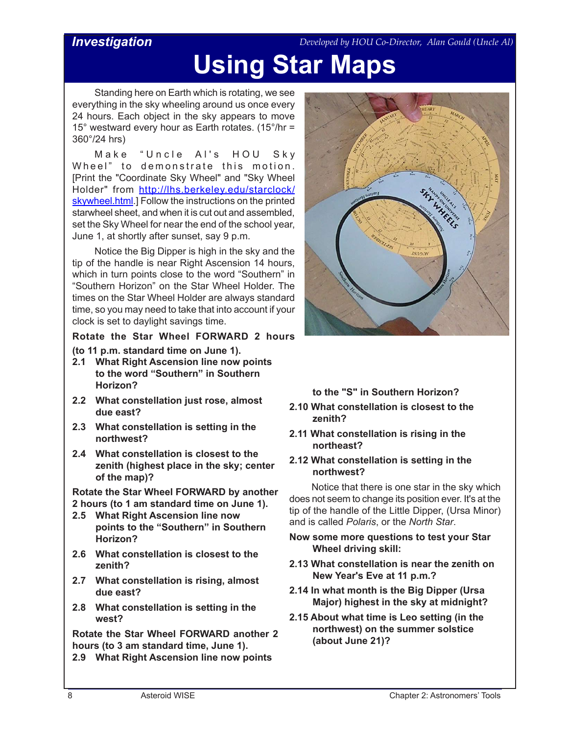### *Investigation*

*Developed by HOU Co-Director, Alan Gould (Uncle Al)*

## **Using Star Maps**

Standing here on Earth which is rotating, we see everything in the sky wheeling around us once every 24 hours. Each object in the sky appears to move 15° westward every hour as Earth rotates. (15°/hr = 360°/24 hrs)

Make "Uncle Al's HOU Sky Wheel" to demonstrate this motion. [Print the "Coordinate Sky Wheel" and "Sky Wheel Holder" from [http://lhs.berkeley.edu/starclock/](http://lhs.berkeley.edu/starclock/skywheel.html) [skywheel.html.](http://lhs.berkeley.edu/starclock/skywheel.html)] Follow the instructions on the printed starwheel sheet, and when it is cut out and assembled, set the Sky Wheel for near the end of the school year, June 1, at shortly after sunset, say 9 p.m.

Notice the Big Dipper is high in the sky and the tip of the handle is near Right Ascension 14 hours, which in turn points close to the word "Southern" in "Southern Horizon" on the Star Wheel Holder. The times on the Star Wheel Holder are always standard time, so you may need to take that into account if your clock is set to daylight savings time.

**Rotate the Star Wheel FORWARD 2 hours** 

- **(to 11 p.m. standard time on June 1).**
- **2.1 What Right Ascension line now points to the word "Southern" in Southern Horizon?**
- **2.2 What constellation just rose, almost due east?**
- **2.3 What constellation is setting in the northwest?**
- **2.4 What constellation is closest to the zenith (highest place in the sky; center of the map)?**

**Rotate the Star Wheel FORWARD by another 2 hours (to 1 am standard time on June 1).** 

- **2.5 What Right Ascension line now points to the "Southern" in Southern Horizon?**
- **2.6 What constellation is closest to the zenith?**
- **2.7 What constellation is rising, almost due east?**
- **2.8 What constellation is setting in the west?**

**Rotate the Star Wheel FORWARD another 2 hours (to 3 am standard time, June 1).** 

**2.9 What Right Ascension line now points** 



### **to the "S" in Southern Horizon?**

- **2.10 What constellation is closest to the zenith?**
- **2.11 What constellation is rising in the northeast?**
- **2.12 What constellation is setting in the northwest?**

Notice that there is one star in the sky which does not seem to change its position ever. It's at the tip of the handle of the Little Dipper, (Ursa Minor) and is called *Polaris*, or the *North Star*.

- **Now some more questions to test your Star Wheel driving skill:**
- **2.13 What constellation is near the zenith on New Year's Eve at 11 p.m.?**
- **2.14 In what month is the Big Dipper (Ursa Major) highest in the sky at midnight?**
- **2.15 About what time is Leo setting (in the northwest) on the summer solstice (about June 21)?**